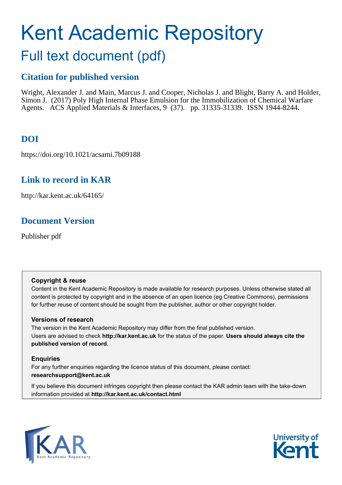# <span id="page-0-0"></span>Kent Academic Repository

## Full text document (pdf)

## **Citation for published version**

Wright, Alexander J. and Main, Marcus J. and Cooper, Nicholas J. and Blight, Barry A. and Holder, Simon J. (2017) Poly High Internal Phase Emulsion for the Immobilization of Chemical Warfare Agents. ACS Applied Materials & Interfaces, 9 (37). pp. 31335-31339. ISSN 1944-8244.

## **DOI**

https://doi.org/10.1021/acsami.7b09188

## **Link to record in KAR**

http://kar.kent.ac.uk/64165/

## **Document Version**

Publisher pdf

#### **Copyright & reuse**

Content in the Kent Academic Repository is made available for research purposes. Unless otherwise stated all content is protected by copyright and in the absence of an open licence (eg Creative Commons), permissions for further reuse of content should be sought from the publisher, author or other copyright holder.

#### **Versions of research**

The version in the Kent Academic Repository may differ from the final published version. Users are advised to check **http://kar.kent.ac.uk** for the status of the paper. **Users should always cite the published version of record.**

#### **Enquiries**

For any further enquiries regarding the licence status of this document, please contact: **researchsupport@kent.ac.uk**

If you believe this document infringes copyright then please contact the KAR admin team with the take-down information provided at **http://kar.kent.ac.uk/contact.html**



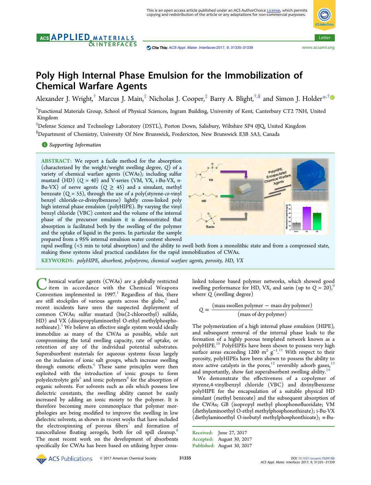#### <span id="page-1-0"></span>AGS APPLIED MATERIALS **&INTERFACES**



### Poly High Internal Phase Emulsion for the Immobilization of Chemical Warfare Agents

Alexander J. Wright, $^\dagger$  Marcus J. Main, $^\ddagger$  Nicholas J. Cooper, $^\ddagger$  Barry A. Blight, $^{\dagger,\S}$  and Simon J. Holder $^{*,\dagger}$  $^{*,\dagger}$  $^{*,\dagger}$ 

† Functional Materials Group, School of Physical Sciences, Ingram Building, University of Kent, Canterbury CT2 7NH, United Kingdom

‡Defense Science and Technology Laboratory (DSTL), Porton Down, Salisbury, Wiltshire SP4 0JQ, United Kingdom §Department of Chemistry, University Of New Brunswick, Fredericton, New Brunswick E3B 5A3, Canada

**S** [Supporting Information](#page-3-0)

ABSTRACT: We report a facile method for the absorption (characterized by the weight/weight swelling degree, *Q*) of a variety of chemical warfare agents (CWAs); including sulfur mustard (HD) (*Q* = 40) and V-series (VM, VX, *i*-Bu-VX, *n*-Bu-VX) of nerve agents  $(Q \geq 45)$  and a simulant, methyl benzoate (Q = 55), through the use of a poly(styrene-*co*-vinyl benzyl chloride-*co*-divinylbenzene) lightly cross-linked poly high internal phase emulsion (polyHIPE). By varying the vinyl benzyl chloride (VBC) content and the volume of the internal phase of the precursor emulsion it is demonstrated that absorption is facilitated both by the swelling of the polymer and the uptake of liquid in the pores. In particular the sample prepared from a 95% internal emulsion water content showed



rapid swelling (<5 min to total absorption) and the ability to swell both from a monolithic state and from a compressed state, making these systems ideal practical candidates for the rapid immobilization of CWAs.

KEYWORDS: *polyHIPE, absorbent, polystyrene, chemical warfare agents, porosity, HD, VX*

C hemical warfare agents (CWAs) are a globally restricted<br>item in accordance with the Chemical Weapons<br>Convention implemented in [1](#page-3-0)997.<sup>1</sup> Regardless of this, there hemical warfare agents (CWAs) are a globally restricted item in accordance with the Chemical Weapons are still stockpiles of various agents across the globe, $2$  and recent incidents have seen the suspected deployment of common CWAs; sulfur mustard (bis(2-chloroethyl) sulfide, HD) and VX (diisopropylaminoethyl O-ethyl methylphospho-nothioate).<sup>[3](#page-3-0)</sup> We believe an effective single system would ideally immobilize as many of the CWAs as possible, while not compromising the total swelling capacity, rate of uptake, or retention of any of the individual potential substrates. Superabsorbent materials for aqueous systems focus largely on the inclusion of ionic salt groups, which increase swelling through osmotic effects.<sup>[4](#page-3-0)</sup> These same principles were then exploited with the introduction of ionic groups to form polyelectrolyte gels $^{\mathsf{s}}$  and ionic polymers $^{\mathsf{6}}$  $^{\mathsf{6}}$  $^{\mathsf{6}}$  for the absorption of organic solvents. For solvents such as oils which possess low dielectric constants, the swelling ability cannot be easily increased by adding an ionic moiety to the polymer. It is therefore becoming more commonplace that polymer morphologies are being modified to improve the swelling in low dielectric solvents, as shown in recent works that have included the electrospinning of porous fibers $\bar{z}$  and formation of nanocellulose floating aerogels, both for oil spill cleanup.<sup>[8](#page-4-0)</sup> The most recent work on the development of absorbents specifically for CWAs has been based on utilizing hyper crosslinked toluene based polymer networks, which showed good swelling performance for HD, VX, and sarin (up to  $Q = 20$ ),<sup>[9](#page-4-0)</sup> where *Q* (swelling degree)

$$
Q = \frac{\text{(mass swollen polymer - mass dry polymer)}}{\text{(mass of dry polymer)}}
$$

The polymerization of a high internal phase emulsion (HIPE), and subsequent removal of the internal phase leads to the formation of a highly porous templated network known as a polyHIPE.[10](#page-4-0) PolyHIPEs have been shown to possess very high surface areas exceeding 1200  $m^2$   $g^{-1}$ .<sup>[11](#page-4-0)</sup> With respect to their . porosity, polyHIPEs have been shown to possess the ability to store active catalysts in the pores, $12$  reversibly adsorb gases, and importantly, show fast superabsorbent swelling ability.<sup>[14](#page-4-0)</sup>

We demonstrate the effectiveness of a copolymer of styrene,4-vinylbenzyl chloride (VBC) and divinylbenzene polyHIPE for the encapsulation of a suitable physical HD simulant (methyl benzoate) and the subsequent absorption of the CWAs; GB (isopropyl methyl phosphonofluoridate; VM (diethylaminoethyl O-ethyl methylphosphonothioate); i-Bu-VX (diethylaminoethyl O-isobutyl methylphosphonthioate); *n*-Bu-

Received: June 27, 2017 Accepted: August 30, 2017 Published: August 30, 2017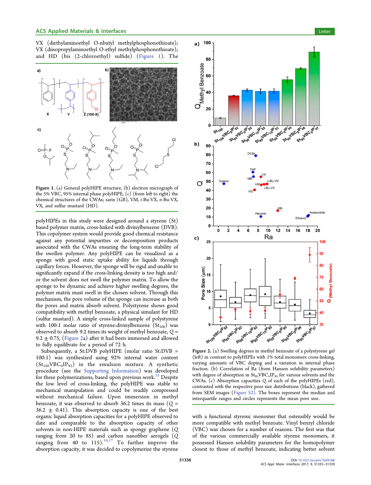<span id="page-2-0"></span>VX (diethylaminoethyl O-nbutyl methylphosphonothioate); VX (diisopropylaminoethyl O-ethyl methylphosphonothioate); and HD (bis (2-chloroethyl) sulfide) [\(Figure 1](#page-1-0)). The



Figure 1. (a) General polyHIPE structure, (b) electron micrograph of the 5% VBC, 95% internal phase polyHIPE, (c) (from left to right) the chemical structures of the CWAs; sarin (GB), VM, *i*-Bu-VX, *n*-Bu-VX, VX, and sulfur mustard (HD).

polyHIPEs in this study were designed around a styrene (St) based polymer matrix, cross-linked with divinylbenzene (DVB). This copolymer system would provide good chemical resistance against any potential impurities or decomposition products associated with the CWAs ensuring the long-term stability of the swollen polymer. Any polyHIPE can be visualized as a sponge with good static uptake ability for liquids through capillary forces. However, the sponge will be rigid and unable to significantly expand if the cross-linking density is too high and/ or the solvent does not swell the polymer matrix. To allow the sponge to be dynamic and achieve higher swelling degrees, the polymer matrix must swell in the chosen solvent. Through this mechanism, the pore volume of the sponge can increase as both the pores and matrix absorb solvent. Polystyrene shows good compatibility with methyl benzoate, a physical simulant for HD (sulfur mustard). A simple cross-linked sample of polystyrene with 100:1 molar ratio of styrene: divinylbenzene  $(St<sub>100</sub>)$  was observed to absorb 9.2 times its weight of methyl benzoate, *Q* = 9.2  $\pm$  0.75, ([Figure 2](#page-1-0)a) after it had been immersed and allowed to fully equilibrate for a period of 72 h.

Subsequently, a St:DVB polyHIPE (molar ratio St:DVB = 100:1) was synthesized using 92% internal water content  $(\text{St}_{100} \text{VBC}_0 \text{IP}_{92})$  in the emulsion mixture. A synthetic procedure (see the [Supporting Information](http://pubs.acs.org/doi/suppl/10.1021/acsami.7b09188/suppl_file/am7b09188_si_002.pdf)) was developed for these polymerizations, based upon previous work.<sup>[15](#page-4-0)</sup> Despite the low level of cross-linking, the polyHIPE was stable to mechanical manipulation and could be readily compressed without mechanical failure. Upon immersion in methyl benzoate, it was observed to absorb 36.2 times its mass  $(Q =$  $36.2 \pm 0.41$ ). This absorption capacity is one of the best organic liquid absorption capacities for a polyHIPE observed to date and comparable to the absorption capacity of other solvents in non-HIPE materials such as spongy graphene (*Q* ranging from 20 to 85) and carbon nanofiber aerogels (*Q* ranging from 40 to 115).<sup>[16,17](#page-4-0)</sup> To further improve the absorption capacity, it was decided to copolymerize the styrene



Figure 2. (a) Swelling degrees in methyl benzoate of a polystyrene gel (left) in contrast to polyHIPEs with 1% total monomers cross-linking, varying amounts of VBC doping and a variation in internal phase fraction. (b) Correlation of Ra (from Hansen solubility parameters) with degree of absorption in  $\mathrm{St}_{95}\mathrm{VBC}_5\mathrm{IP}_{95}$  for various solvents and the CWAs. (c) Absorption capacities *Q* of each of the polyHIPEs (red), contrasted with the respective pore size distributions (black), gathered from SEM images ([Figure S2\).](http://pubs.acs.org/doi/suppl/10.1021/acsami.7b09188/suppl_file/am7b09188_si_002.pdf) The boxes represent the median and interquartile ranges and circles represents the mean pore size.

with a functional styrenic monomer that ostensibly would be more compatible with methyl benzoate. Vinyl benzyl chloride (VBC) was chosen for a number of reasons. The first was that of the various commercially available styrene monomers, it possessed Hansen solubility parameters for the homopolymer closest to those of methyl benzoate, indicating better solvent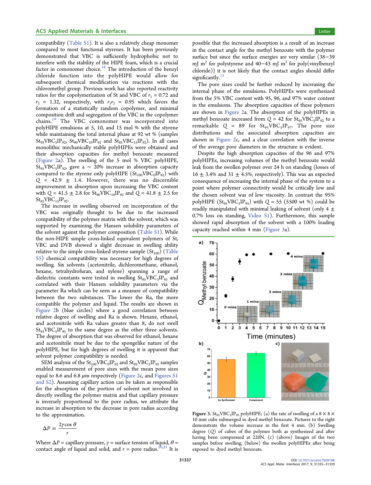<span id="page-3-0"></span>compatibility ([Table S1\)](http://pubs.acs.org/doi/suppl/10.1021/acsami.7b09188/suppl_file/am7b09188_si_002.pdf). It is also a relatively cheap monomer compared to most functional styrenes. It has been previously demonstrated that VBC is sufficiently hydrophobic not to interfere with the stability of the HIPE foam, which is a crucial factor in comonomer choice.<sup>[18](#page-4-0)</sup> The introduction of the benzyl chloride function into the polyHIPE would allow for subsequent chemical modification via reactions with the chloromethyl group. Previous work has also reported reactivity ratios for the copolymerization of St and VBC of  $r_1 = 0.72$  and  $r_2$  = 1.32, respectively, with  $r_1r_2$  = 0.95 which favors the formation of a statistically random copolymer, and minimal composition drift and segregation of the VBC in the copolymer chains.[19](#page-4-0) The VBC comonomer was incorporated into polyHIPE emulsions at 5, 10, and 15 mol % with the styrene while maintaining the total internal phase at 92 wt % (samples  $\rm St_{95}VBC_{5}IP_{92}$ ,  $\rm St_{90}VBC_{10}IP_{92}$  and  $\rm St_{85}VBC_{15}IP_{92}$ ). In all cases monolithic mechanically stable polyHIPEs were obtained and their absorption capacities for methyl benzoate measured [\(Figure 2](#page-1-0)a). The swelling of the 5 mol % VBC polyHIPE,  $St_{95}VBC_{5}IP_{92}$ , gave a ~ 20% increase in absorption capacity compared to the styrene only poly $\rm{HIPE}\,\left( \rm{St}_{100} \rm{VBC}_{0} \rm{IP}_{92} \right)$  with  $Q = 42.9 \pm 1.4$ . However, there was no discernible improvement in absorption upon increasing the VBC content with  $Q = 41.5 \pm 2.8$  for  $St_{90}VBC_{10}IP_{92}$  and  $Q = 41.8 \pm 2.5$  for  $St_{85}VBC_{15}IP_{92}.$ 

The increase in swelling observed on incorporation of the VBC was originally thought to be due to the increased compatibility of the polymer matrix with the solvent, which was supported by examining the Hansen solubility parameters of the solvent against the polymer composition ([Table S1](http://pubs.acs.org/doi/suppl/10.1021/acsami.7b09188/suppl_file/am7b09188_si_002.pdf)). While the non-HIPE simple cross-linked equivalent polymers of St, VBC and DVB showed a slight decrease in swelling ability relative to the simple cross-linked styrene sample  $(St<sub>100</sub>)$  ([Table](http://pubs.acs.org/doi/suppl/10.1021/acsami.7b09188/suppl_file/am7b09188_si_002.pdf) [S5\)](http://pubs.acs.org/doi/suppl/10.1021/acsami.7b09188/suppl_file/am7b09188_si_002.pdf) chemical compatibility was necessary for high degrees of swelling. Six solvents (acetonitrile, dichloromethane, ethanol, hexane, tetrahydrofuran, and xylene) spanning a range of dielectric constants were tested in swelling  $\mathrm{St}_{95}\mathrm{VBC}_{5}\mathrm{IP}_{95}$  and correlated with their Hansen solubility parameters via the parameter Ra which can be seen as a measure of compatibility between the two substances. The lower the Ra, the more compatible the polymer and liquid. The results are shown in [Figure 2](#page-1-0)b (blue circles) where a good correlation between relative degree of swelling and Ra is shown. Hexane, ethanol, and acetonitrile with Ra values greater than 8, do not swell  $St_{95}VBC_{5}IP_{95}$  to the same degree as the other three solvents. The degree of absorption that was observed for ethanol, hexane and acetonitrile must be due to the spongelike nature of the polyHIPE, but for high degrees of swelling it is apparent that solvent polymer compatibility is needed.

SEM analysis of the  $\rm{St}_{100}VBC_0IP_{92}$  and  $\rm{St}_{95}VBC_5IP_{92}$  samples enabled measurement of pore sizes with the mean pore sizes equal to 8.6 and 6.8  $\mu$ m respectively [\(Figure 2c](#page-1-0), and [Figures S1](http://pubs.acs.org/doi/suppl/10.1021/acsami.7b09188/suppl_file/am7b09188_si_002.pdf) [and S2\)](http://pubs.acs.org/doi/suppl/10.1021/acsami.7b09188/suppl_file/am7b09188_si_002.pdf). Assuming capillary action can be taken as responsible for the absorption of the portion of solvent not involved in directly swelling the polymer matrix and that capillary pressure is inversely proportional to the pore radius, we attribute the increase in absorption to the decrease in pore radius according to the approximation.

$$
\Delta P = \frac{2\gamma \cos \theta}{r}
$$

Where  $\Delta P$  = capillary pressure,  $\gamma$  = surface tension of liquid,  $\theta$  = contact angle of liquid and solid, and  $r =$  pore radius.<sup>[20,21](#page-4-0)</sup> It is possible that the increased absorption is a result of an increase in the contact angle for the methyl benzoate with the polymer surface but since the surface energies are very similar (38−39 mJ m<sup>2</sup> for polystyrene and 40−43 mJ m<sup>2</sup> for poly(vinylbenzyl chloride)) it is not likely that the contact angles should differ significantly. $15$ 

The pore sizes could be further reduced by increasing the internal phase of the emulsions. PolyHIPEs were synthesized from the 5% VBC content with 95, 96, and 97% water content in the emulsions. The absorption capacities of these polymers are shown in [Figure 2a](#page-1-0). The absorption of the polyHIPEs in methyl benzoate increased from  $Q = 42$  for  $St_{95}VBC_5IP_{92}$  to a  $remarkable$   $Q = 89$  for  $St_{95}VBC_{5}IP_{97}$ . The pore size distributions and the associated absorption capacities are shown in [Figure 2c](#page-1-0), and a clear correlation with the inverse of the average pore diameters in the structure is evident.

Despite the high absorption capacities of the 96 and 97% polyHIPEs, increasing volumes of the methyl benzoate would leak from the swollen polymer over 24 h on standing (losses of  $16 \pm 3.4\%$  and  $31 \pm 4.5\%$ , respectively). This was an expected consequence of increasing the internal phase of the system to a point where polymer connectivity would be critically low and the chosen solvent was of low viscosity. In contrast the 95% polyHIPE  $(St_{95}VBC_5IP_{95})$  with  $Q = 55$  (5500 wt %) could be readily manipulated with minimal leaking of solvent (only 4  $\pm$ 0.7% loss on standing, [Video S1\)](http://pubs.acs.org/doi/suppl/10.1021/acsami.7b09188/suppl_file/am7b09188_si_001.mpg). Furthermore, this sample showed rapid absorption of the solvent with a 100% loading capacity reached within 4 min ([Figure 3](#page-2-0)a).



Figure 3.  $\mathrm{St}_{95}\mathrm{VBC}_{5}\mathrm{IP}_{95}$  polyHIPE; (a) the rate of swelling of a 8  $\times$  8  $\times$ 10 mm cube submerged in dyed methyl benzoate. Pictures to the right demonstrate the volume increase in the first 4 min. (b) Swelling degree (*Q*) of cubes of the polymer both as synthesized and after having been compressed at 220N. (c) (above) Images of the two samples before swelling, (below) the swollen polyHIPEs after being exposed to dyed methyl benzoate.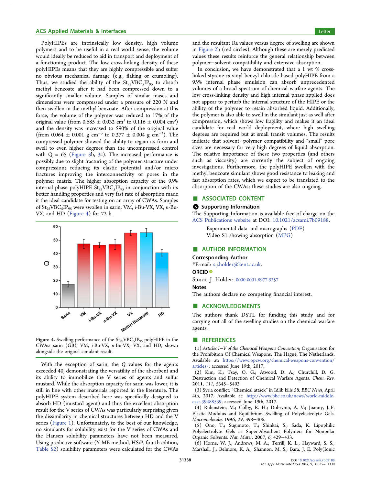#### <span id="page-4-0"></span>ACS Applied Materials & Interfaces Letter Letter Letter Letter Letter Letter Letter Letter Letter Letter Letter

PolyHIPEs are intrinsically low density, high volume polymers and to be useful in a real world sense, the volume would ideally be reduced to aid in transport and deployment of a functioning product. The low cross-linking density of these polyHIPEs means that they are highly compressible and suffer no obvious mechanical damage (e.g., flaking or crumbling). Thus, we studied the ability of the  $\mathrm{St}_{95}\mathrm{VBC}_{5}\mathrm{IP}_{95}$  to absorb methyl benzoate after it had been compressed down to a significantly smaller volume. Samples of similar mases and dimensions were compressed under a pressure of 220 N and then swollen in the methyl benzoate. After compression at this force, the volume of the polymer was reduced to 17% of the original value (from 0.685  $\pm$  0.032 cm<sup>3</sup> to 0.116  $\pm$  0.004 cm<sup>3</sup>) and the density was increased to 590% of the original value (from 0.064  $\pm$  0.001 g cm<sup>-3</sup> to 0.377  $\pm$  0.004 g cm<sup>-3</sup>). The compressed polymer showed the ability to regain its form and swell to even higher degrees than the uncompressed control with  $Q = 65$  [\(Figure 3b](#page-2-0), [3](#page-2-0)c). The increased performance is possibly due to slight fracturing of the polymer structure under compression; reducing its elastic potential and/or micro fractures improving the interconnectivity of pores in the polymer matrix. The higher absorption capacity of the 95% internal phase polyHIPE  $\rm St_{95}VBC_{5}IP_{95}$  in conjunction with its better handling properties and very fast rate of absorption made it the ideal candidate for testing on an array of CWAs. Samples of St95VBC<sup>5</sup> IP<sup>95</sup> were swollen in sarin, VM, *i*-Bu-VX, VX, *n*-Bu-VX, and HD [\(Figure 4](#page-3-0)) for 72 h.



**Figure 4.** Swelling performance of the  $\text{St}_{95}\text{VBC}_{5}\text{IP}_{95}$  polyHIPE in the CWAs: sarin (GB), VM, *i*-Bu-VX, *n*-Bu-VX, VX, and HD, shown alongside the original simulant result.

With the exception of sarin, the *Q* values for the agents exceeded 40, demonstrating the versatility of the absorbent and its ability to immobilize the V series of agents and sulfur mustard. While the absorption capacity for sarin was lower, it is still in line with other materials reported in the literature. The polyHIPE system described here was specifically designed to absorb HD (mustard agent) and thus the excellent absorption result for the V series of CWAs was particularly surprising given the dissimilarity in chemical structures between HD and the V series [\(Figure 1](#page-1-0)). Unfortunately, to the best of our knowledge, no simulants for solubility exist for the V series of CWAs and the Hansen solubility parameters have not been measured. Using predictive software (Y-MB method, HSiP, fourth edition, [Table S2\)](http://pubs.acs.org/doi/suppl/10.1021/acsami.7b09188/suppl_file/am7b09188_si_002.pdf) solubility parameters were calculated for the CWAs

and the resultant Ra values versus degree of swelling are shown in [Figure 2b](#page-1-0) (red circles). Although these are merely predicted values these results reinforce the general relationship between polymer−solvent compatibility and extensive absorption.

In conclusion, we have demonstrated that a 1 wt % crosslinked styrene-*co*-vinyl benzyl chloride based polyHIPE from a 95% internal phase emulsion can absorb unprecedented volumes of a broad spectrum of chemical warfare agents. The low cross-linking density and high internal phase applied does not appear to perturb the internal structure of the HIPE or the ability of the polymer to retain absorbed liquid. Additionally, the polymer is also able to swell in the simulant just as well after compression, which shows low fragility and makes it an ideal candidate for real world deployment, where high swelling degrees are required but at small transit volumes. The results indicate that solvent−polymer compatibility and "small" pore sizes are necessary for very high degrees of liquid absorption. The relative importance of these two properties (and others such as viscosity) are currently the subject of ongoing investigations. Furthermore, the polyHIPE swollen with the methyl benzoate simulant shows good resistance to leaking and fast absorption rates, which we expect to be translated to the absorption of the CWAs; these studies are also ongoing.

#### ■ ASSOCIATED CONTENT

#### **6** Supporting Information

The Supporting Information is available free of charge on the [ACS Publications website](http://pubs.acs.org) at DOI: [10.1021/acsami.7b09188](http://pubs.acs.org/doi/abs/10.1021/acsami.7b09188).

Experimental data and micrographs ([PDF\)](http://pubs.acs.org/doi/suppl/10.1021/acsami.7b09188/suppl_file/am7b09188_si_002.pdf) Video S1 showing absorption [\(MPG](http://pubs.acs.org/doi/suppl/10.1021/acsami.7b09188/suppl_file/am7b09188_si_001.mpg))

#### ■ AUTHOR INFORMATION

#### Corresponding Author

\*E-mail: [s.j.holder@kent.ac.uk.](mailto:s.j.holder@kent.ac.uk)

#### ORCID<sup>®</sup>

Simon J. Holder: [0000-0001-8977-9257](http://orcid.org/0000-0001-8977-9257)

#### **Notes**

The authors declare no competing financial interest.

#### ■ ACKNOWLEDGMENTS

The authors thank DSTL for funding this study and for carrying out all of the swelling studies on the chemical warfare agents.

#### ■ REFERENCES

(1) *Articles I*−*V of the Chemical Weapons Convention*; Organisation for the Prohibition Of Chemical Weapons: The Hague, The Netherlands. Available at: [https://www.opcw.org/chemical-weapons-convention/](https://www.opcw.org/chemical-weapons-convention/articles/) [articles/](https://www.opcw.org/chemical-weapons-convention/articles/), accessed June 19th, 2017.

(2) Kim, K.; Tsay, O. G.; Atwood, D. A.; Churchill, D. G. Destruction and Detection of Chemical Warfare Agents. *Chem. Rev.* 2011, *111*, 5345−5403.

(3) Syria conflict: "Chemical attack" in Idlib kills 58. *BBC News*, April 4th, 2017. Available at: [http://www.bbc.co.uk/news/world-middle](http://www.bbc.co.uk/news/world-middle-east-39488539)[east-39488539,](http://www.bbc.co.uk/news/world-middle-east-39488539) accessed June 19th, 2017.

(4) Rubinstein, M.; Colby, R. H.; Dobrynin, A. V.; Joanny, J.-F. Elastic Modulus and Equilibrium Swelling of Polyelectrolyte Gels. *Macromolecules* 1996, *29*, 398−406.

(5) Ono, T.; Sugimoto, T.; Shinkai, S.; Sada, K. Lipophilic Polyelectrolyte Gels as Super-Absorbent Polymers for Nonpolar Organic Solvents. *Nat. Mater.* 2007, *6*, 429−433.

(6) Horne, W. J.; Andrews, M. A.; Terrill, K. L.; Hayward, S. S.; Marshall, J.; Belmore, K. A.; Shannon, M. S.; Bara, J. E. Poly(Ionic